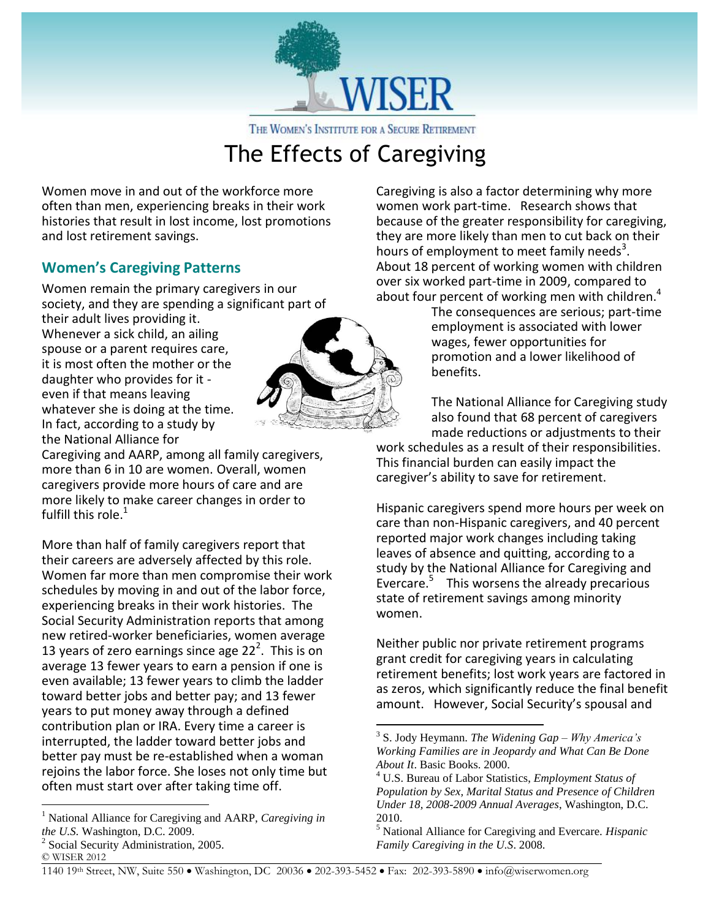

THE WOMEN'S INSTITUTE FOR A SECURE RETIREMENT

## The Effects of Caregiving

Women move in and out of the workforce more often than men, experiencing breaks in their work histories that result in lost income, lost promotions and lost retirement savings.

## **Women's Caregiving Patterns**

Women remain the primary caregivers in our society, and they are spending a significant part of

their adult lives providing it. Whenever a sick child, an ailing spouse or a parent requires care, it is most often the mother or the daughter who provides for it even if that means leaving whatever she is doing at the time. In fact, according to a study by the National Alliance for



More than half of family caregivers report that their careers are adversely affected by this role. Women far more than men compromise their work schedules by moving in and out of the labor force, experiencing breaks in their work histories. The Social Security Administration reports that among new retired-worker beneficiaries, women average 13 years of zero earnings since age  $22<sup>2</sup>$ . This is on average 13 fewer years to earn a pension if one is even available; 13 fewer years to climb the ladder toward better jobs and better pay; and 13 fewer years to put money away through a defined contribution plan or IRA. Every time a career is interrupted, the ladder toward better jobs and better pay must be re-established when a woman rejoins the labor force. She loses not only time but often must start over after taking time off.

2 Social Security Administration, 2005.

 $\overline{a}$ 



Caregiving is also a factor determining why more women work part-time. Research shows that because of the greater responsibility for caregiving, they are more likely than men to cut back on their hours of employment to meet family needs<sup>3</sup>. About 18 percent of working women with children over six worked part-time in 2009, compared to about four percent of working men with children.<sup>4</sup>

The consequences are serious; part-time employment is associated with lower wages, fewer opportunities for promotion and a lower likelihood of benefits.

The National Alliance for Caregiving study also found that 68 percent of caregivers made reductions or adjustments to their

work schedules as a result of their responsibilities. This financial burden can easily impact the caregiver's ability to save for retirement.

Hispanic caregivers spend more hours per week on care than non-Hispanic caregivers, and 40 percent reported major work changes including taking leaves of absence and quitting, according to a study by the National Alliance for Caregiving and Evercare.<sup>5</sup> This worsens the already precarious state of retirement savings among minority women.

Neither public nor private retirement programs grant credit for caregiving years in calculating retirement benefits; lost work years are factored in as zeros, which significantly reduce the final benefit amount. However, Social Security's spousal and

1140 19th Street, NW, Suite 550 Washington, DC 20036 202-393-5452 Fax: 202-393-5890 info@wiserwomen.org

 $\overline{a}$ 

<sup>1</sup> National Alliance for Caregiving and AARP, *Caregiving in the U.S.* Washington, D.C. 2009.

<sup>©</sup> WISER 2012

<sup>3</sup> S. Jody Heymann. *The Widening Gap – Why America's Working Families are in Jeopardy and What Can Be Done About It*. Basic Books. 2000.

<sup>4</sup> U.S. Bureau of Labor Statistics, *Employment Status of Population by Sex, Marital Status and Presence of Children Under 18, 2008-2009 Annual Averages*, Washington, D.C. 2010.

<sup>5</sup> National Alliance for Caregiving and Evercare. *Hispanic Family Caregiving in the U.S*. 2008.